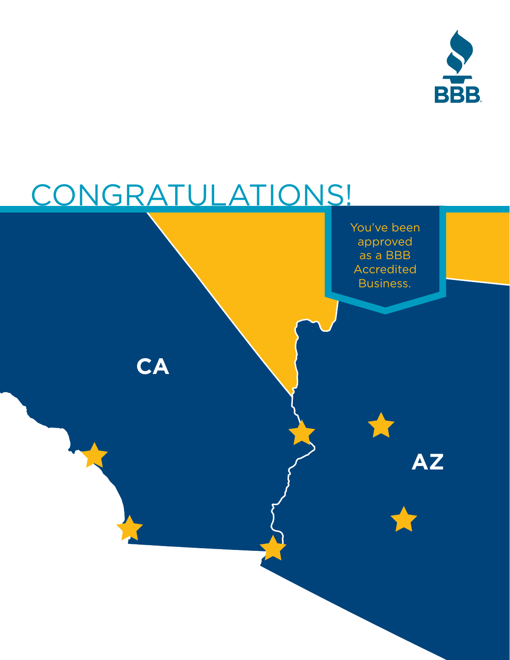

# CONGRATULATIONS!

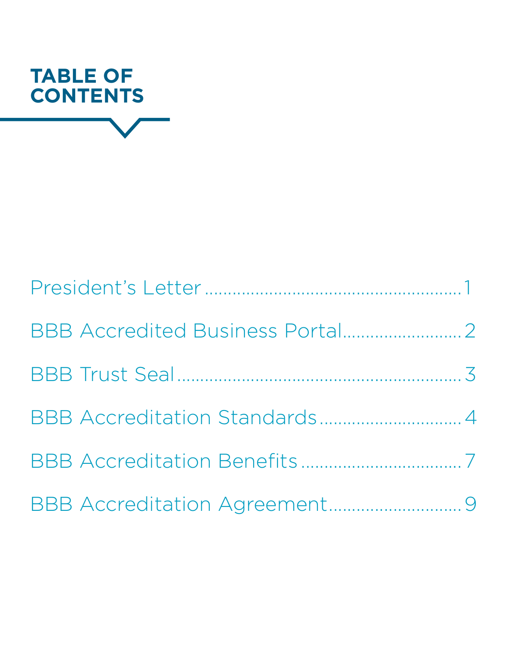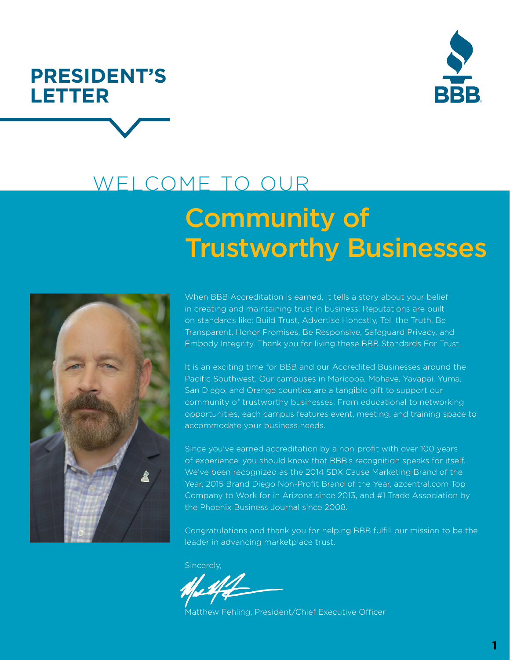

### <span id="page-2-0"></span>**PRESIDENT'S LETTER ®**

## Community of WELCOME TO OUR

# Trustworthy Businesses



When BBB Accreditation is earned, it tells a story about your belief in creating and maintaining trust in business. Reputations are built on standards like: Build Trust, Advertise Honestly, Tell the Truth, Be Transparent, Honor Promises, Be Responsive, Safeguard Privacy, and Embody Integrity. Thank you for living these BBB Standards For Trust.

It is an exciting time for BBB and our Accredited Businesses around the Pacific Southwest. Our campuses in Maricopa, Mohave, Yavapai, Yuma, San Diego, and Orange counties are a tangible gift to support our community of trustworthy businesses. From educational to networking opportunities, each campus features event, meeting, and training space to accommodate your business needs.

Since you've earned accreditation by a non-profit with over 100 years of experience, you should know that BBB's recognition speaks for itself. We've been recognized as the 2014 SDX Cause Marketing Brand of the Year, 2015 Brand Diego Non-Profit Brand of the Year, azcentral.com Top Company to Work for in Arizona since 2013, and #1 Trade Association by the Phoenix Business Journal since 2008.

Congratulations and thank you for helping BBB fulfill our mission to be the leader in advancing marketplace trust.

Sincerely,

Matthew Fehling, President/Chief Executive Officer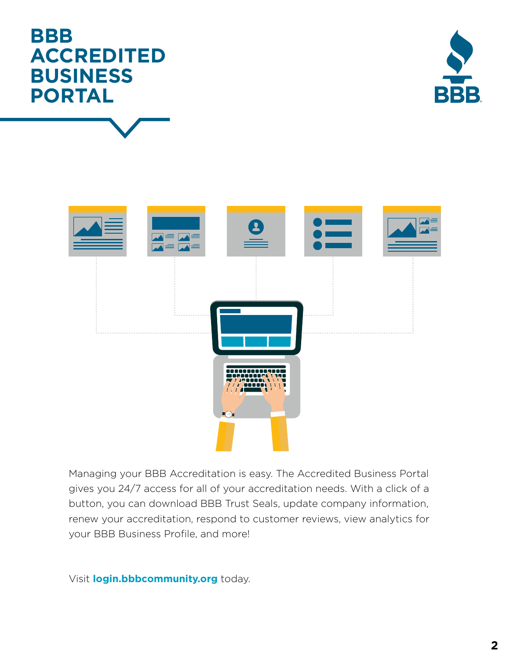### <span id="page-3-0"></span>**BBB ACCREDITED BUSINESS PORTAL ®**

Managing your BBB Accreditation is easy. The Accredited Business Portal gives you 24/7 access for all of your accreditation needs. With a click of a button, you can download BBB Trust Seals, update company information, renew your accreditation, respond to customer reviews, view analytics for your BBB Business Profile, and more!

Visit **[login.bbbcommunity.org](https://www.bbb.org/pacific-southwest/login/?not=1http://login.bbbcommunity.org)** today.



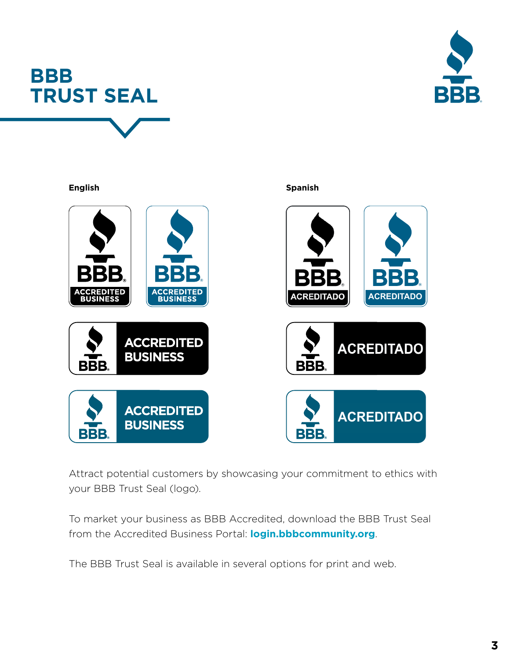<span id="page-4-0"></span>





Attract potential customers by showcasing your commitment to ethics with your BBB Trust Seal (logo).

To market your business as BBB Accredited, download the BBB Trust Seal from the Accredited Business Portal: **[login.bbbcommunity.org](https://www.bbb.org/pacific-southwest/login/?not=1)**.

The BBB Trust Seal is available in several options for print and web.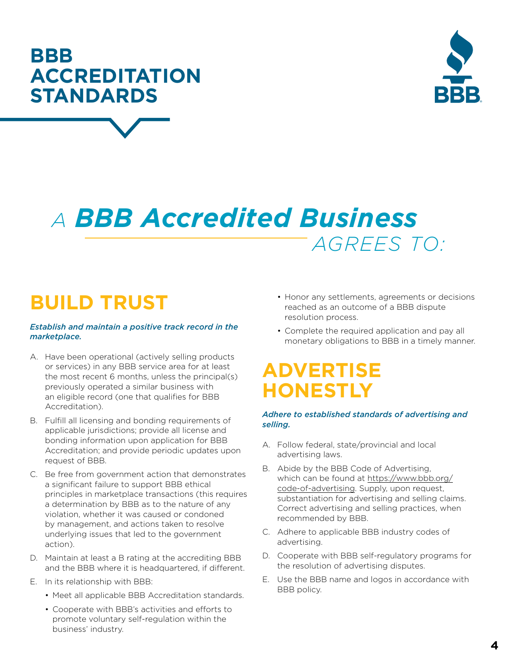**4**

### <span id="page-5-0"></span>**BBB ACCREDITATION STANDARDS ®**

### *A BBB Accredited Business AGREES TO:*

### **BUILD TRUST**

### *Establish and maintain a positive track record in the marketplace.*

- A. Have been operational (actively selling products or services) in any BBB service area for at least the most recent 6 months, unless the principal(s) previously operated a similar business with an eligible record (one that qualifies for BBB Accreditation).
- B. Fulfill all licensing and bonding requirements of applicable jurisdictions; provide all license and bonding information upon application for BBB Accreditation; and provide periodic updates upon request of BBB.
- C. Be free from government action that demonstrates a significant failure to support BBB ethical principles in marketplace transactions (this requires a determination by BBB as to the nature of any violation, whether it was caused or condoned by management, and actions taken to resolve underlying issues that led to the government action).
- D. Maintain at least a B rating at the accrediting BBB and the BBB where it is headquartered, if different.
- E. In its relationship with BBB:
	- Meet all applicable BBB Accreditation standards.
	- Cooperate with BBB's activities and efforts to promote voluntary self-regulation within the business' industry.
- Honor any settlements, agreements or decisions reached as an outcome of a BBB dispute resolution process.
- Complete the required application and pay all monetary obligations to BBB in a timely manner.

### **ADVERTISE HONESTLY**

### *Adhere to established standards of advertising and selling.*

- A. Follow federal, state/provincial and local advertising laws.
- B. Abide by the BBB Code of Advertising, which can be found at [https://www.bbb.org/](https://www.bbb.org/code-of-advertising) [code-of-advertising](https://www.bbb.org/code-of-advertising). Supply, upon request, substantiation for advertising and selling claims. Correct advertising and selling practices, when recommended by BBB.
- C. Adhere to applicable BBB industry codes of advertising.
- D. Cooperate with BBB self-regulatory programs for the resolution of advertising disputes.
- E. Use the BBB name and logos in accordance with BBB policy.

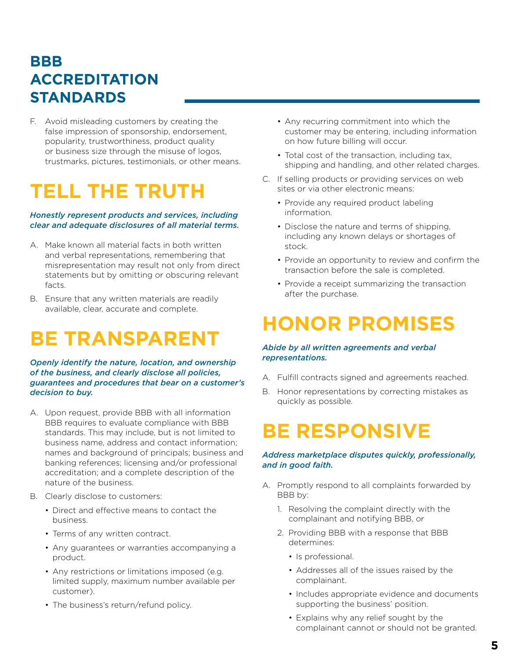### **BBB ACCREDITATION STANDARDS**

F. Avoid misleading customers by creating the false impression of sponsorship, endorsement, popularity, trustworthiness, product quality or business size through the misuse of logos, trustmarks, pictures, testimonials, or other means.

### **TELL THE TRUTH**

### *Honestly represent products and services, including clear and adequate disclosures of all material terms.*

- A. Make known all material facts in both written and verbal representations, remembering that misrepresentation may result not only from direct statements but by omitting or obscuring relevant facts.
- B. Ensure that any written materials are readily available, clear, accurate and complete.

### **BE TRANSPARENT**

*Openly identify the nature, location, and ownership of the business, and clearly disclose all policies, guarantees and procedures that bear on a customer's decision to buy.*

- A. Upon request, provide BBB with all information BBB requires to evaluate compliance with BBB standards. This may include, but is not limited to business name, address and contact information; names and background of principals; business and banking references; licensing and/or professional accreditation; and a complete description of the nature of the business.
- B. Clearly disclose to customers:
	- Direct and effective means to contact the business.
	- Terms of any written contract.
	- Any guarantees or warranties accompanying a product.
	- Any restrictions or limitations imposed (e.g. limited supply, maximum number available per customer).
	- The business's return/refund policy.
- Any recurring commitment into which the customer may be entering, including information on how future billing will occur.
- Total cost of the transaction, including tax, shipping and handling, and other related charges.
- C. If selling products or providing services on web sites or via other electronic means:
	- Provide any required product labeling information.
	- Disclose the nature and terms of shipping, including any known delays or shortages of stock.
	- Provide an opportunity to review and confirm the transaction before the sale is completed.
	- Provide a receipt summarizing the transaction after the purchase.

### **HONOR PROMISES**

### *Abide by all written agreements and verbal representations.*

- A. Fulfill contracts signed and agreements reached.
- B. Honor representations by correcting mistakes as quickly as possible.

### **BE RESPONSIVE**

### *Address marketplace disputes quickly, professionally, and in good faith.*

- A. Promptly respond to all complaints forwarded by BBB by:
	- 1. Resolving the complaint directly with the complainant and notifying BBB, or
	- 2. Providing BBB with a response that BBB determines:
		- Is professional.
		- Addresses all of the issues raised by the complainant.
		- Includes appropriate evidence and documents supporting the business' position.
		- Explains why any relief sought by the complainant cannot or should not be granted.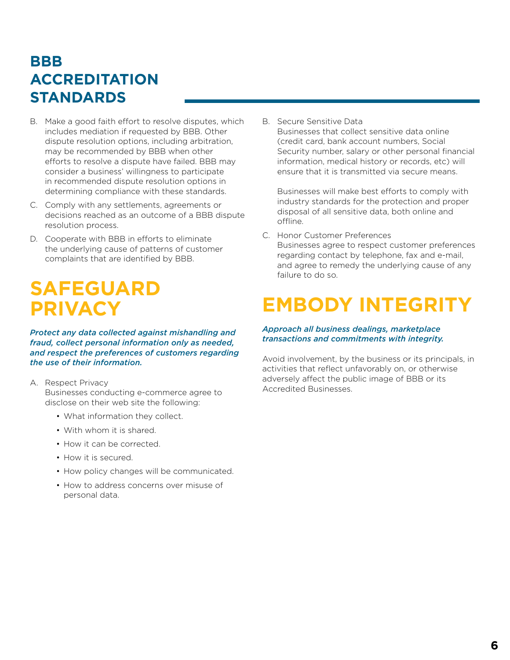### **BBB ACCREDITATION STANDARDS**

- B. Make a good faith effort to resolve disputes, which includes mediation if requested by BBB. Other dispute resolution options, including arbitration, may be recommended by BBB when other efforts to resolve a dispute have failed. BBB may consider a business' willingness to participate in recommended dispute resolution options in determining compliance with these standards.
- C. Comply with any settlements, agreements or decisions reached as an outcome of a BBB dispute resolution process.
- D. Cooperate with BBB in efforts to eliminate the underlying cause of patterns of customer complaints that are identified by BBB.

### **SAFEGUARD PRIVACY**

*Protect any data collected against mishandling and fraud, collect personal information only as needed, and respect the preferences of customers regarding the use of their information.*

### A. Respect Privacy

Businesses conducting e-commerce agree to disclose on their web site the following:

- What information they collect.
- With whom it is shared.
- How it can be corrected.
- How it is secured.
- How policy changes will be communicated.
- How to address concerns over misuse of personal data.

B. Secure Sensitive Data Businesses that collect sensitive data online (credit card, bank account numbers, Social Security number, salary or other personal financial information, medical history or records, etc) will ensure that it is transmitted via secure means.

Businesses will make best efforts to comply with industry standards for the protection and proper disposal of all sensitive data, both online and offline.

C. Honor Customer Preferences Businesses agree to respect customer preferences regarding contact by telephone, fax and e-mail, and agree to remedy the underlying cause of any failure to do so.

### **EMBODY INTEGRITY**

### *Approach all business dealings, marketplace transactions and commitments with integrity.*

Avoid involvement, by the business or its principals, in activities that reflect unfavorably on, or otherwise adversely affect the public image of BBB or its Accredited Businesses.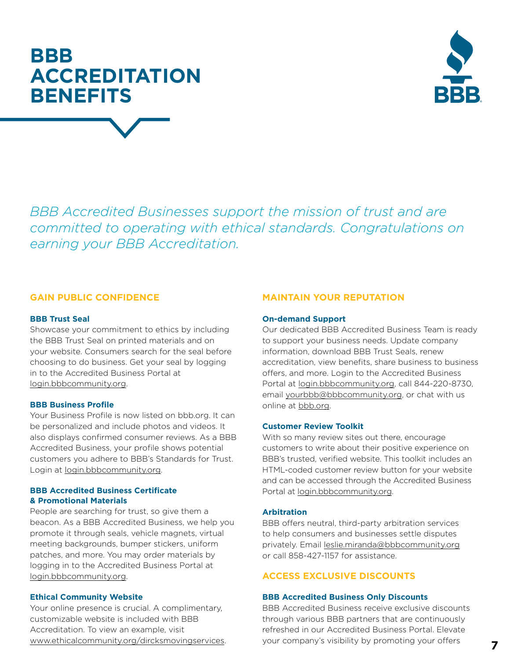### <span id="page-8-0"></span>**BBB ACCREDITATION BENEFITS ®**



*BBB Accredited Businesses support the mission of trust and are committed to operating with ethical standards. Congratulations on earning your BBB Accreditation.*

### **GAIN PUBLIC CONFIDENCE**

### **BBB Trust Seal**

Showcase your commitment to ethics by including the BBB Trust Seal on printed materials and on your website. Consumers search for the seal before choosing to do business. Get your seal by logging in to the Accredited Business Portal at [login.bbbcommunity.org](https://www.bbb.org/pacific-southwest/login/?not=1).

### **BBB Business Profile**

Your Business Profile is now listed on bbb.org. It can be personalized and include photos and videos. It also displays confirmed consumer reviews. As a BBB Accredited Business, your profile shows potential customers you adhere to BBB's Standards for Trust. Login at [login.bbbcommunity.org](https://www.bbb.org/pacific-southwest/login/?not=1).

### **BBB Accredited Business Certificate & Promotional Materials**

People are searching for trust, so give them a beacon. As a BBB Accredited Business, we help you promote it through seals, vehicle magnets, virtual meeting backgrounds, bumper stickers, uniform patches, and more. You may order materials by logging in to the Accredited Business Portal at [login.bbbcommunity.org](https://www.bbb.org/pacific-southwest/login/?not=1).

### **Ethical Community Website**

Your online presence is crucial. A complimentary, customizable website is included with BBB Accreditation. To view an example, visit [www.ethicalcommunity.org/dircksmovingservices.](https://www.ethicalcommunity.org/dircksmovingservices)

### **MAINTAIN YOUR REPUTATION**

#### **On-demand Support**

Our dedicated BBB Accredited Business Team is ready to support your business needs. Update company information, download BBB Trust Seals, renew accreditation, view benefits, share business to business offers, and more. Login to the Accredited Business Portal at [login.bbbcommunity.org,](https://www.bbb.org/pacific-southwest/login/?not=1) call 844-220-8730, email [yourbbb@bbbcommunity.org,](mailto:yourbbb%40bbbcommunity.org?subject=) or chat with us online at [bbb.org.](https://www.bbb.org/)

### **Customer Review Toolkit**

With so many review sites out there, encourage customers to write about their positive experience on BBB's trusted, verified website. This toolkit includes an HTML-coded customer review button for your website and can be accessed through the Accredited Business Portal at [login.bbbcommunity.org.](https://www.bbb.org/pacific-southwest/login/?not=1)

#### **Arbitration**

BBB offers neutral, third-party arbitration services to help consumers and businesses settle disputes privately. Email [leslie.miranda@bbbcommunity.org](mailto:leslie.miranda%40bbbcommunity.org?subject=) or call 858-427-1157 for assistance.

### **ACCESS EXCLUSIVE DISCOUNTS**

#### **BBB Accredited Business Only Discounts**

BBB Accredited Business receive exclusive discounts through various BBB partners that are continuously refreshed in our Accredited Business Portal. Elevate your company's visibility by promoting your offers **7**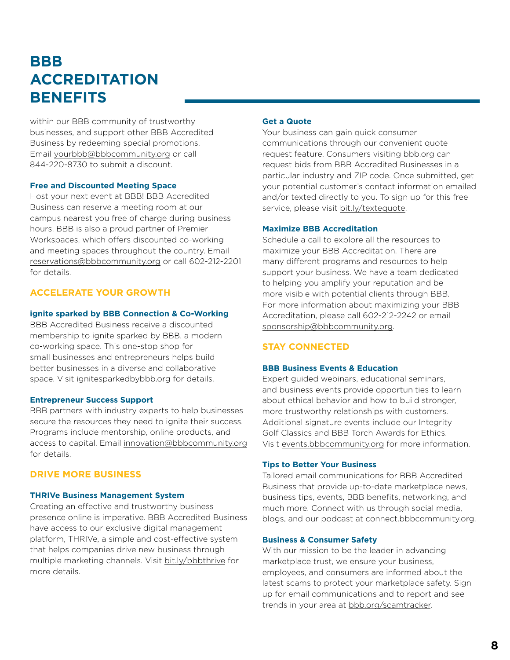### **BBB ACCREDITATION BENEFITS**

within our BBB community of trustworthy businesses, and support other BBB Accredited Business by redeeming special promotions. Email [yourbbb@bbbcommunity.org](mailto:yourbbb%40bbbcommunity.org?subject=) or call 844-220-8730 to submit a discount.

#### **Free and Discounted Meeting Space**

Host your next event at BBB! BBB Accredited Business can reserve a meeting room at our campus nearest you free of charge during business hours. BBB is also a proud partner of Premier Workspaces, which offers discounted co-working and meeting spaces throughout the country. Email [reservations@bbbcommunity.org](mailto:reservations%40bbbcommunity.org?subject=) or call 602-212-2201 for details.

### **ACCELERATE YOUR GROWTH**

#### **ignite sparked by BBB Connection & Co-Working**

BBB Accredited Business receive a discounted membership to ignite sparked by BBB, a modern co-working space. This one-stop shop for small businesses and entrepreneurs helps build better businesses in a diverse and collaborative space. Visit [ignitesparkedbybbb.org](https://www.ignitesparkedbybbb.org/) for details.

#### **Entrepreneur Success Support**

BBB partners with industry experts to help businesses secure the resources they need to ignite their success. Programs include mentorship, online products, and access to capital. Email [innovation@bbbcommunity.org](mailto:innovation%40bbbcommunity.org?subject=) for details.

### **DRIVE MORE BUSINESS**

#### **THRIVe Business Management System**

Creating an effective and trustworthy business presence online is imperative. BBB Accredited Business have access to our exclusive digital management platform, THRIVe, a simple and cost-effective system that helps companies drive new business through multiple marketing channels. Visit [bit.ly/bbbthrive](https://www.bbb.org/pacific-southwest/public/thrive/default.aspx) for more details.

### **Get a Quote**

Your business can gain quick consumer communications through our convenient quote request feature. Consumers visiting bbb.org can request bids from BBB Accredited Businesses in a particular industry and ZIP code. Once submitted, get your potential customer's contact information emailed and/or texted directly to you. To sign up for this free service, please visit [bit.ly/textequote.](https://www.bbb.org/phoenix/Public/Form/Form.aspx?f=162&e=6%D1%DD&utm_source=BBB+Weekly--February+14%2C+2012&utm_campaign=1-31-2012&utm_medium=email)

#### **Maximize BBB Accreditation**

Schedule a call to explore all the resources to maximize your BBB Accreditation. There are many different programs and resources to help support your business. We have a team dedicated to helping you amplify your reputation and be more visible with potential clients through BBB. For more information about maximizing your BBB Accreditation, please call 602-212-2242 or email [sponsorship@bbbcommunity.org.](mailto:sponsorship%40bbbcommunity.org?subject=)

### **STAY CONNECTED**

#### **BBB Business Events & Education**

Expert guided webinars, educational seminars, and business events provide opportunities to learn about ethical behavior and how to build stronger, more trustworthy relationships with customers. Additional signature events include our Integrity Golf Classics and BBB Torch Awards for Ethics. Visit [events.bbbcommunity.org](https://www.bbb.org/local-bbb/bbb-serving-the-pacific-southwest/events) for more information.

#### **Tips to Better Your Business**

Tailored email communications for BBB Accredited Business that provide up-to-date marketplace news, business tips, events, BBB benefits, networking, and much more. Connect with us through social media, blogs, and our podcast at [connect.bbbcommunity.org.](https://www.bbb.org/pacific-southwest/get-involved/stay-connected-to-bbb/)

#### **Business & Consumer Safety**

With our mission to be the leader in advancing marketplace trust, we ensure your business, employees, and consumers are informed about the latest scams to protect your marketplace safety. Sign up for email communications and to report and see trends in your area at [bbb.org/scamtracker](https://www.bbb.org/scamtracker).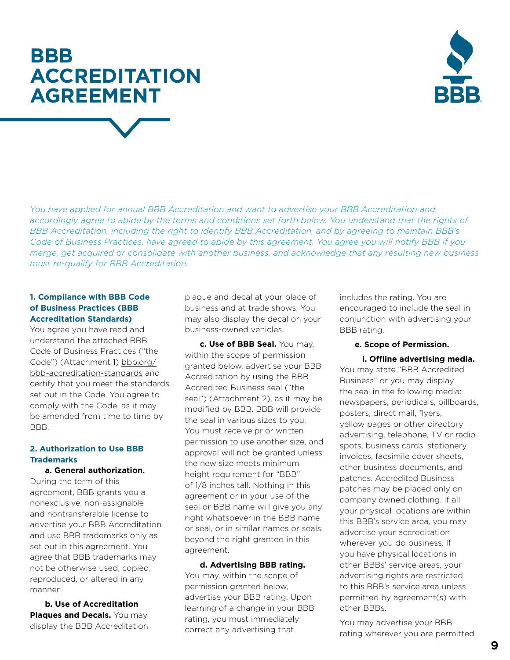### <span id="page-10-0"></span>**BBB ACCREDITATION AGREEMENT**



*You have applied for annual BBB Accreditation and want to advertise your BBB Accreditation and accordingly agree to abide by the terms and conditions set forth below. You understand that the rights of BBB Accreditation, including the right to identify BBB Accreditation, and by agreeing to maintain BBB's Code of Business Practices, have agreed to abide by this agreement. You agree you will notify BBB if you merge, get acquired or consolidate with another business, and acknowledge that any resulting new business must re-qualify for BBB Accreditation.*

### **1. Compliance with BBB Code of Business Practices (BBB Accreditation Standards)**

You agree you have read and understand the attached BBB Code of Business Practices ("the Code") (Attachment 1) [bbb.org/](https://www.bbb.org/bbb-accreditation-standards) [bbb-accreditation-standards](https://www.bbb.org/bbb-accreditation-standards) and certify that you meet the standards set out in the Code. You agree to comply with the Code, as it may be amended from time to time by BBB.

### **2. Authorization to Use BBB Trademarks**

### **a. General authorization.**

During the term of this agreement, BBB grants you a nonexclusive, non-assignable and nontransferable license to advertise your BBB Accreditation and use BBB trademarks only as set out in this agreement. You agree that BBB trademarks may not be otherwise used, copied, reproduced, or altered in any manner.

**b. Use of Accreditation Plaques and Decals.** You may display the BBB Accreditation plaque and decal at your place of business and at trade shows. You may also display the decal on your business-owned vehicles.

**c. Use of BBB Seal.** You may, within the scope of permission granted below, advertise your BBB Accreditation by using the BBB Accredited Business seal ("the seal") (Attachment 2), as it may be modified by BBB. BBB will provide the seal in various sizes to you. You must receive prior written permission to use another size, and approval will not be granted unless the new size meets minimum height requirement for "BBB" of 1/8 inches tall. Nothing in this agreement or in your use of the seal or BBB name will give you any right whatsoever in the BBB name or seal, or in similar names or seals, beyond the right granted in this agreement.

**d. Advertising BBB rating.** You may, within the scope of permission granted below, advertise your BBB rating. Upon learning of a change in your BBB rating, you must immediately correct any advertising that

includes the rating. You are encouraged to include the seal in conjunction with advertising your BBB rating.

### **e. Scope of Permission.**

### **i. Offline advertising media.**

You may state "BBB Accredited Business" or you may display the seal in the following media: newspapers, periodicals, billboards, posters, direct mail, flyers, yellow pages or other directory advertising, telephone, TV or radio spots, business cards, stationery, invoices, facsimile cover sheets, other business documents, and patches. Accredited Business patches may be placed only on company owned clothing. If all your physical locations are within this BBB's service area, you may advertise your accreditation wherever you do business. If you have physical locations in other BBBs' service areas, your advertising rights are restricted to this BBB's service area unless permitted by agreement(s) with other BBBs.

You may advertise your BBB rating wherever you are permitted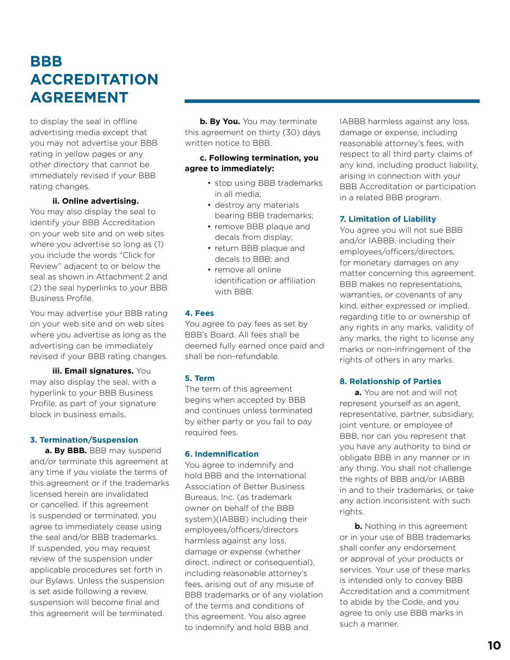### **BBB ACCREDITATION AGREEMENT**

to display the seal in offline advertising media except that you may not advertise your BBB rating in yellow pages or any other directory that cannot be immediately revised if your BBB rating changes.

### **ii. Online advertising.**

You may also display the seal to identify your BBB Accreditation on your web site and on web sites where you advertise so long as (1) you include the words "Click for Review" adjacent to or below the seal as shown in Attachment 2 and (2) the seal hyperlinks to your BBB Business Profile.

You may advertise your BBB rating on your web site and on web sites where you advertise as long as the advertising can be immediately revised if your BBB rating changes.

**iii. Email signatures.** You may also display the seal, with a hyperlink to your BBB Business Profile, as part of your signature block in business emails.

### **3. Termination/Suspension**

**a. By BBB.** BBB may suspend and/or terminate this agreement at any time if you violate the terms of this agreement or if the trademarks licensed herein are invalidated or cancelled. If this agreement is suspended or terminated, you agree to immediately cease using the seal and/or BBB trademarks. If suspended, you may request review of the suspension under applicable procedures set forth in our Bylaws. Unless the suspension is set aside following a review, suspension will become final and this agreement will be terminated.

**b. By You.** You may terminate this agreement on thirty (30) days written notice to BBB.

### **c. Following termination, you agree to immediately:**

- stop using BBB trademarks in all media;
- destroy any materials bearing BBB trademarks;
- remove BBB plaque and decals from display;
- return BBB plaque and decals to BBB; and
- remove all online identification or affiliation with BBB.

### **4. Fees**

You agree to pay fees as set by BBB's Board. All fees shall be deemed fully earned once paid and shall be non-refundable.

### **5. Term**

The term of this agreement begins when accepted by BBB and continues unless terminated by either party or you fail to pay required fees.

### **6. Indemnification**

You agree to indemnify and hold BBB and the International Association of Better Business Bureaus, Inc. (as trademark owner on behalf of the BBB system)(IABBB) including their employees/officers/directors harmless against any loss, damage or expense (whether direct, indirect or consequential), including reasonable attorney's fees, arising out of any misuse of BBB trademarks or of any violation of the terms and conditions of this agreement. You also agree to indemnify and hold BBB and

IABBB harmless against any loss, damage or expense, including reasonable attorney's fees, with respect to all third party claims of any kind, including product liability, arising in connection with your BBB Accreditation or participation in a related BBB program.

### **7. Limitation of Liability**

You agree you will not sue BBB and/or IABBB, including their employees/officers/directors, for monetary damages on any matter concerning this agreement. BBB makes no representations, warranties, or covenants of any kind, either expressed or implied, regarding title to or ownership of any rights in any marks, validity of any marks, the right to license any marks or non-infringement of the rights of others in any marks.

### **8. Relationship of Parties**

**a.** You are not and will not represent yourself as an agent, representative, partner, subsidiary, joint venture, or employee of BBB, nor can you represent that you have any authority to bind or obligate BBB in any manner or in any thing. You shall not challenge the rights of BBB and/or IABBB in and to their trademarks, or take any action inconsistent with such rights.

**b.** Nothing in this agreement or in your use of BBB trademarks shall confer any endorsement or approval of your products or services. Your use of these marks is intended only to convey BBB Accreditation and a commitment to abide by the Code, and you agree to only use BBB marks in such a manner.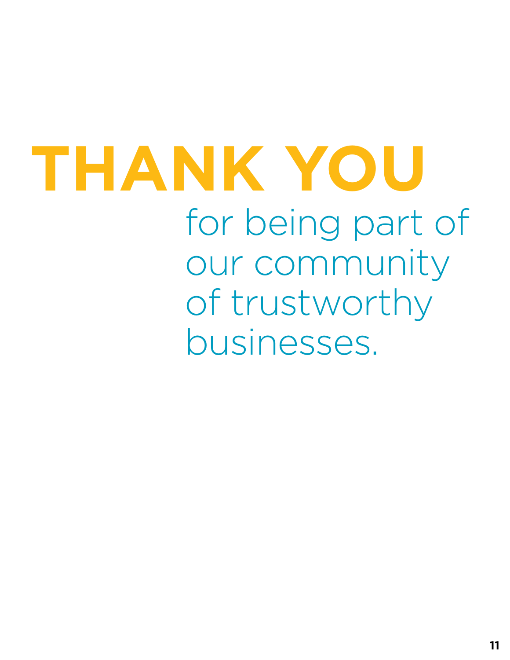# for being part of our community of trustworthy businesses. **THANK YOU**